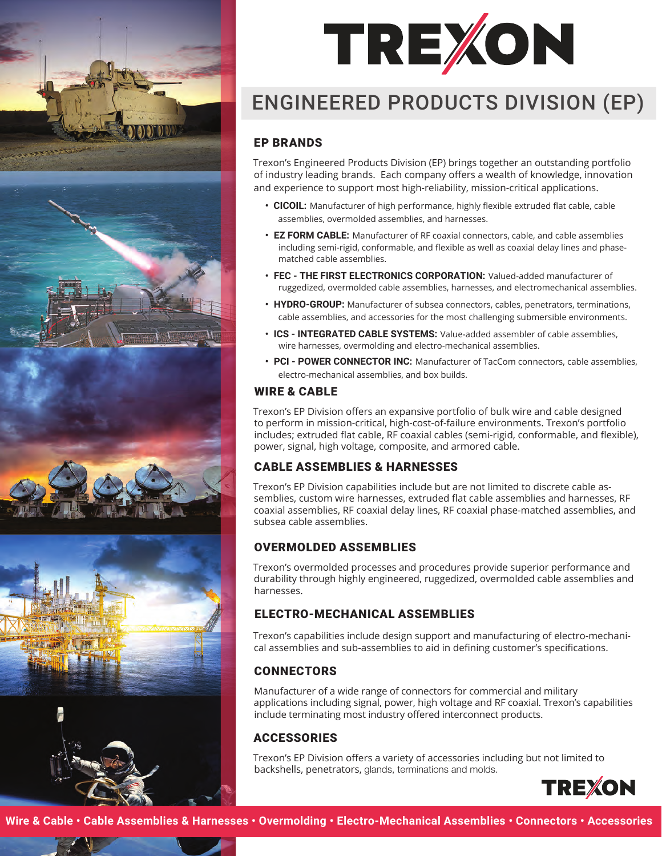



# ENGINEERED PRODUCTS DIVISION (EP)

# EP BRANDS

Trexon's Engineered Products Division (EP) brings together an outstanding portfolio of industry leading brands. Each company offers a wealth of knowledge, innovation and experience to support most high-reliability, mission-critical applications.

- **• CICOIL:** Manufacturer of high performance, highly flexible extruded flat cable, cable assemblies, overmolded assemblies, and harnesses.
- **• EZ FORM CABLE:** Manufacturer of RF coaxial connectors, cable, and cable assemblies including semi-rigid, conformable, and flexible as well as coaxial delay lines and phasematched cable assemblies.
- **• FEC THE FIRST ELECTRONICS CORPORATION:** Valued-added manufacturer of ruggedized, overmolded cable assemblies, harnesses, and electromechanical assemblies.
- **• HYDRO-GROUP:** Manufacturer of subsea connectors, cables, penetrators, terminations, cable assemblies, and accessories for the most challenging submersible environments.
- **• ICS INTEGRATED CABLE SYSTEMS:** Value-added assembler of cable assemblies, wire harnesses, overmolding and electro-mechanical assemblies.
- **• PCI POWER CONNECTOR INC:** Manufacturer of TacCom connectors, cable assemblies, electro-mechanical assemblies, and box builds.

# WIRE & CABLE

Trexon's EP Division offers an expansive portfolio of bulk wire and cable designed to perform in mission-critical, high-cost-of-failure environments. Trexon's portfolio includes; extruded flat cable, RF coaxial cables (semi-rigid, conformable, and flexible), power, signal, high voltage, composite, and armored cable.

# CABLE ASSEMBLIES & HARNESSES

Trexon's EP Division capabilities include but are not limited to discrete cable assemblies, custom wire harnesses, extruded flat cable assemblies and harnesses, RF coaxial assemblies, RF coaxial delay lines, RF coaxial phase-matched assemblies, and subsea cable assemblies.

# OVERMOLDED ASSEMBLIES

Trexon's overmolded processes and procedures provide superior performance and durability through highly engineered, ruggedized, overmolded cable assemblies and harnesses.

# ELECTRO-MECHANICAL ASSEMBLIES

Trexon's capabilities include design support and manufacturing of electro-mechanical assemblies and sub-assemblies to aid in defining customer's specifications.

# **CONNECTORS**

Manufacturer of a wide range of connectors for commercial and military applications including signal, power, high voltage and RF coaxial. Trexon's capabilities include terminating most industry offered interconnect products.

# **ACCESSORIES**

Trexon's EP Division offers a variety of accessories including but not limited to backshells, penetrators, glands, terminations and molds.